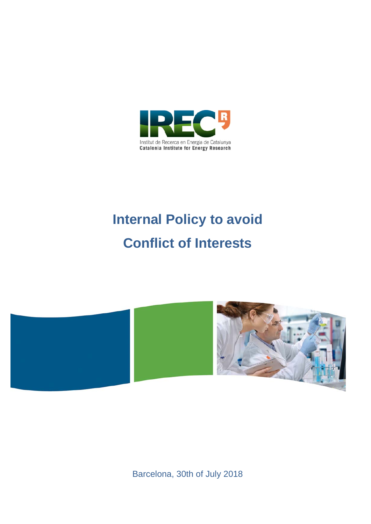

# **Internal Policy to avoid Conflict of Interests**



Barcelona, 30th of July 2018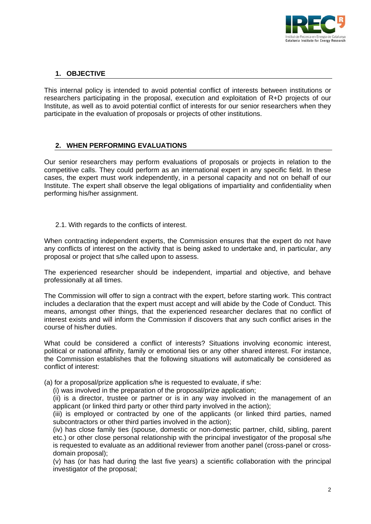

## **1. OBJECTIVE**

This internal policy is intended to avoid potential conflict of interests between institutions or researchers participating in the proposal, execution and exploitation of R+D projects of our Institute, as well as to avoid potential conflict of interests for our senior researchers when they participate in the evaluation of proposals or projects of other institutions.

## **2. WHEN PERFORMING EVALUATIONS**

Our senior researchers may perform evaluations of proposals or projects in relation to the competitive calls. They could perform as an international expert in any specific field. In these cases, the expert must work independently, in a personal capacity and not on behalf of our Institute. The expert shall observe the legal obligations of impartiality and confidentiality when performing his/her assignment.

2.1. With regards to the conflicts of interest.

When contracting independent experts, the Commission ensures that the expert do not have any conflicts of interest on the activity that is being asked to undertake and, in particular, any proposal or project that s/he called upon to assess.

The experienced researcher should be independent, impartial and objective, and behave professionally at all times.

The Commission will offer to sign a contract with the expert, before starting work. This contract includes a declaration that the expert must accept and will abide by the Code of Conduct. This means, amongst other things, that the experienced researcher declares that no conflict of interest exists and will inform the Commission if discovers that any such conflict arises in the course of his/her duties.

What could be considered a conflict of interests? Situations involving economic interest, political or national affinity, family or emotional ties or any other shared interest. For instance, the Commission establishes that the following situations will automatically be considered as conflict of interest:

(a) for a proposal/prize application s/he is requested to evaluate, if s/he:

(i) was involved in the preparation of the proposal/prize application;

(ii) is a director, trustee or partner or is in any way involved in the management of an applicant (or linked third party or other third party involved in the action);

(iii) is employed or contracted by one of the applicants (or linked third parties, named subcontractors or other third parties involved in the action);

(iv) has close family ties (spouse, domestic or non-domestic partner, child, sibling, parent etc.) or other close personal relationship with the principal investigator of the proposal s/he is requested to evaluate as an additional reviewer from another panel (cross-panel or crossdomain proposal);

(v) has (or has had during the last five years) a scientific collaboration with the principal investigator of the proposal;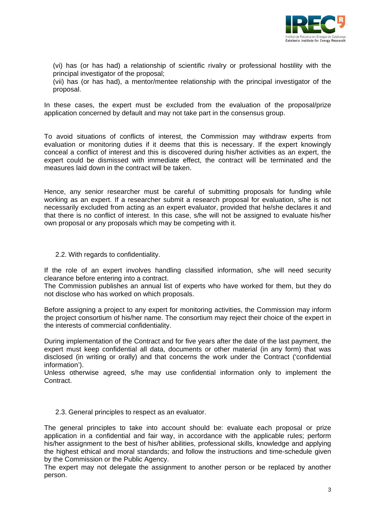

(vi) has (or has had) a relationship of scientific rivalry or professional hostility with the principal investigator of the proposal;

(vii) has (or has had), a mentor/mentee relationship with the principal investigator of the proposal.

In these cases, the expert must be excluded from the evaluation of the proposal/prize application concerned by default and may not take part in the consensus group.

To avoid situations of conflicts of interest, the Commission may withdraw experts from evaluation or monitoring duties if it deems that this is necessary. If the expert knowingly conceal a conflict of interest and this is discovered during his/her activities as an expert, the expert could be dismissed with immediate effect, the contract will be terminated and the measures laid down in the contract will be taken.

Hence, any senior researcher must be careful of submitting proposals for funding while working as an expert. If a researcher submit a research proposal for evaluation, s/he is not necessarily excluded from acting as an expert evaluator, provided that he/she declares it and that there is no conflict of interest. In this case, s/he will not be assigned to evaluate his/her own proposal or any proposals which may be competing with it.

#### 2.2. With regards to confidentiality.

If the role of an expert involves handling classified information, s/he will need security clearance before entering into a contract.

The Commission publishes an annual list of experts who have worked for them, but they do not disclose who has worked on which proposals.

Before assigning a project to any expert for monitoring activities, the Commission may inform the project consortium of his/her name. The consortium may reject their choice of the expert in the interests of commercial confidentiality.

During implementation of the Contract and for five years after the date of the last payment, the expert must keep confidential all data, documents or other material (in any form) that was disclosed (in writing or orally) and that concerns the work under the Contract ('confidential information').

Unless otherwise agreed, s/he may use confidential information only to implement the Contract.

#### 2.3. General principles to respect as an evaluator.

The general principles to take into account should be: evaluate each proposal or prize application in a confidential and fair way, in accordance with the applicable rules; perform his/her assignment to the best of his/her abilities, professional skills, knowledge and applying the highest ethical and moral standards; and follow the instructions and time-schedule given by the Commission or the Public Agency.

The expert may not delegate the assignment to another person or be replaced by another person.